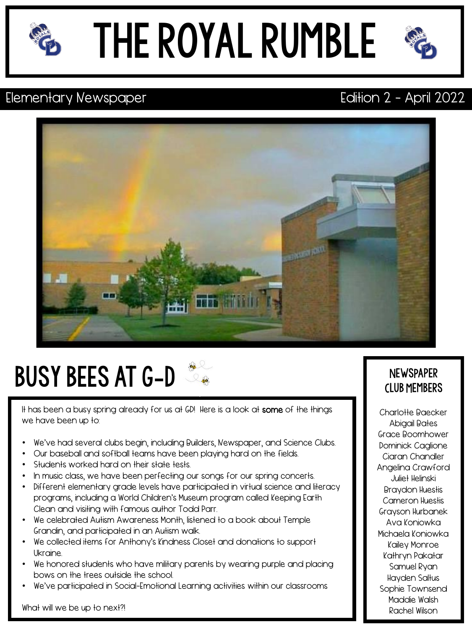

### the royal rumble



### Elementary Newspaper **Example 2** - April 2022



### busy bees at g-d

It has been a busy spring already for us at GD! Here is a look at some of the things we have been up to:

- We've had several clubs begin, including Builders, Newspaper, and Science Clubs.
- Our baseball and softball teams have been playing hard on the fields.
- Students worked hard on their state tests.
- In music class, we have been perfecting our songs for our spring concerts.
- Different elementary grade levels have participated in virtual science and literacy programs, including a World Children's Museum program called Keeping Earth Clean and visiting with famous author Todd Parr.
- We celebrated Autism Awareness Month, listened to a book about Temple Grandin, and participated in an Autism walk.
- We collected items for Anthony's Kindness Closet and donations to support Ukraine.
- We honored students who have military parents by wearing purple and placing bows on the trees outside the school.
- We've participated in Social-Emotional Learning activities within our classrooms

### **NEWSPAPER** Club Members

Charlotte Baecker Abigail Bates Grace Boomhower Dominick Caglione Ciaran Chandler Angelina Crawford Juliet Helinski Braydon Huestis Cameron Huestis Grayson Hurbanek Ava Koniowka Michaela Koniowka Kailey Monroe Kathryn Pakatar Samuel Ryan Hayden Saltus Sophie Townsend Maddie Walsh Rachel Wilson

What will we be up to next?!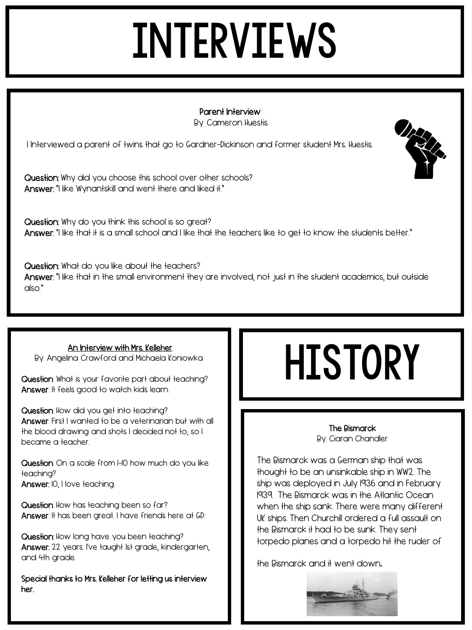### **INTERVIEWS**

Type text here Type text here Type date here Type date here Type date here Type date here Type date here Type Parent Interview By: Cameron Huestis

I Interviewed a parent of twins that go to Gardner-Dickinson and former student Mrs. Huestis.

Question: Why did you choose this school over other schools? Answer: "I like Wynantskill and went there and liked it."

Question: Why do you think this school is so great? Answer: "I like that it is a small school and I like that the teachers like to get to know the students better."

Question: What do you like about the teachers? Answer: "I like that in the small environment they are involved, not just in the student academics, but outside also."

### An Interview with Mrs. Kelleher

By: Angelina Crawford and Michaela Koniowka

Question: What is your favorite part about teaching? Answer: It feels good to watch kids learn.

Question: How did you get into teaching? Answer: First I wanted to be a veterinarian but with all the blood drawing and shots I decided not to, so I became a teacher.

Question: On a scale from I-I0 how much do you like teaching? Answer: IO, I love teaching.

Question: How has teaching been so far? Answer: It has been great. I have friends here at GD.

Question: How long have you been teaching? Answer: 22 years. I've taught Ist grade, kindergarten, and 4th grade.

Special thanks to Mrs. Kelleher for letting us interview her.

### **HISTORY**

### The Bismarck By: Ciaran Chandler

The Bismarck was a German ship that was thought to be an unsinkable ship in WW2. The ship was deployed in July 1936 and in February 1939. The Bismarck was in the Atlantic Ocean when the ship sank. There were many different UK ships. Then Churchill ordered a full assault on the Bismarck it had to be sunk. They sent torpedo planes and a torpedo hit the ruder of

the Bismarck and it went down.



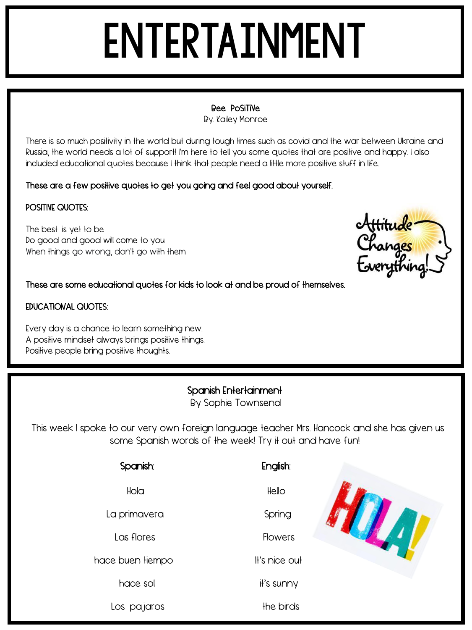## **ENTERTAINMENT**

### $\sum_{i=1}^{\infty}$ Bee PoSiTiVe

By. Kailey Monroe

There is so much positivity in the world but during tough times such as covid and the war between Ukraine and Russia, the world needs a lot of support! I'm here to tell you some quotes that are positive and happy. I also included educational quotes because I think that people need a little more positive stuff in life.

### These are a few positive quotes to get you going and feel good about yourself.

### POSITIVE QUOTES:

The best is yet to be Do good and good will come to you When things go wrong, don't go with them

Attitude<br>Changes<br>Everything!

### These are some educational quotes for kids to look at and be proud of themselves.

### EDUCATIONAL QUOTES:

Every day is a chance to learn something new. A positive mindset always brings positive things. Positive people bring positive thoughts.

### Spanish Entertainment

By Sophie Townsend

This week I spoke to our very own foreign language teacher Mrs. Hancock and she has given us some Spanish words of the week! Try it out and have fun!

| Spanish:                     | English:       |  |
|------------------------------|----------------|--|
| Hola                         | Hello          |  |
| La primavera                 | Spring         |  |
| Las flores                   | <b>Flowers</b> |  |
| hace buen <del>l</del> iempo | It's nice out  |  |
| hace sol                     | it's sunny     |  |
| Los pajaros                  | the birds      |  |
|                              |                |  |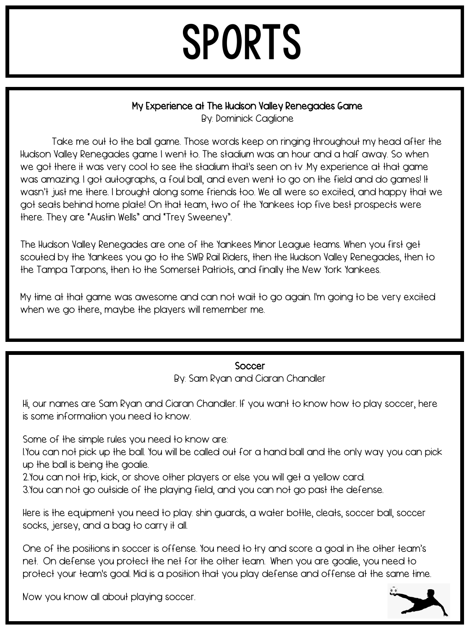### SPORTS

### My Experience at The Hudson Valley Renegades Game

By: Dominick Caglione

Take me out to the ball game. Those words keep on ringing throughout my head after the Hudson Valley Renegades game I went to. The stadium was an hour and a half away. So when we got there it was very cool to see the stadium that's seen on ty .My experience at that game was amazing. I got autographs, a foul ball, and even went to go on the field and do games! It wasn't just me there. I brought along some friends too. We all were so excited, and happy that we got seats behind home plate! On that team, two of the Yankees top five best prospects were there. They are "Austin Wells" and "Trey Sweeney".

The Hudson Valley Renegades are one of the Yankees Minor League teams. When you first get scouted by the Yankees you go to the SWB Rail Riders, then the Hudson Valley Renegades, then to the Tampa Tarpons, then to the Somerset Patriots, and finally the New York Yankees.

My time at that game was awesome and can not wait to go again. I'm going to be very excited when we go there, maybe the players will remember me.

### **Soccer**

By: Sam Ryan and Ciaran Chandler

Hi, our names are Sam Ryan and Ciaran Chandler. If you want to know how to play soccer, here is some information you need to know.

Some of the simple rules you need to know are:

1.You can not pick up the ball. You will be called out for a hand ball and the only way you can pick up the ball is being the goalie.

2.You can not trip, kick, or shove other players or else you will get a yellow card.

3.You can not go outside of the playing field, and you can not go past the defense.

Here is the equipment you need to play: shin guards, a water bottle, cleats, soccer ball, soccer socks, jersey, and a bag to carry it all.

One of the positions in soccer is offense. You need to try and score a goal in the other team's net. On defense you protect the net for the other team. When you are goalie, you need to protect your team's goal. Mid is a position that you play defense and offense at the same time.

Now you know all about playing soccer.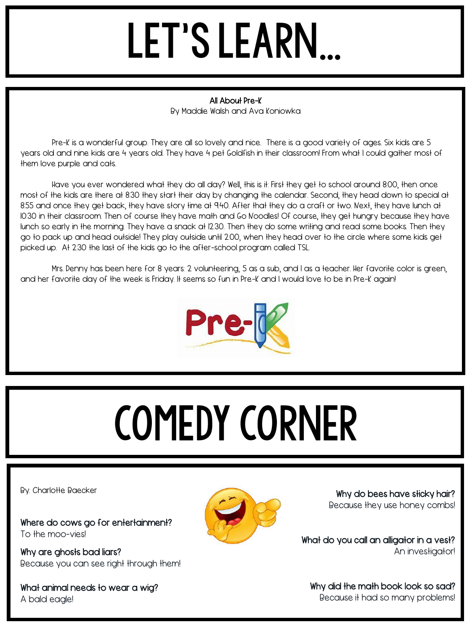### let's learn…

### The text here the text here the text here the text here the text here the text here text here the text here text here text here text here text here text here text here text here text here text here text here text here text All About Pre-K

By Maddie Walsh and Ava Koniowka

Pre-K is a wonderful group. They are all so lovely and nice. There is a good variety of ages. Six kids are 5 years old and nine kids are 4 years old. They have 4 pet Goldfish in their classroom! From what I could gather most of them love purple and cats.

Have you ever wondered what they do all day? Well, this is it: First they get to school around 8:00, then once most of the kids are there at 8:30 they start their day by changing the calendar. Second, they head down to special at 8:55 and once they get back, they have story time at 9:40. After that they do a craft or two. Next, they have lunch at 10:30 in their classroom. Then of course they have math and Go Noodles! Of course, they get hungry because they have lunch so early in the morning. They have a snack at 12:30. Then they do some writing and read some books. Then they go to pack up and head outside! They play outside until 2:00, when they head over to the circle where some kids get picked up. At 2:30 the last of the kids go to the after-school program called TSL.

Mrs. Denny has been here for 8 years: 2 volunteering, 5 as a sub, and 1 as a teacher. Her favorite color is green, and her favorite day of the week is Friday. It seems so fun in Pre-K and I would love to be in Pre-K again!



# comedy corner

By: Charlotte Baecker

Where do cows go for entertainment? To the moo-vies!

Why are ghosts bad liars? Because you can see right through them!

What animal needs to wear a wig? A bald eagle!



Why do bees have sticky hair? Because they use honey combs!

What do you call an alligator in a vest? An investigator!

Why did the math book look so sad? Because it had so many problems!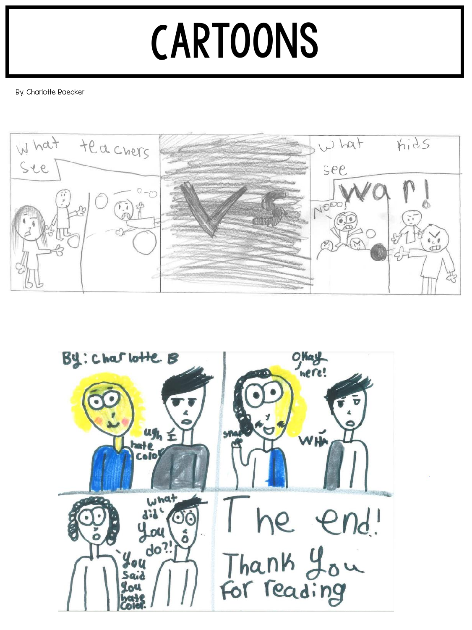### **CARTOONS**

By Charlotte Raecker By: Charlotte Baecker



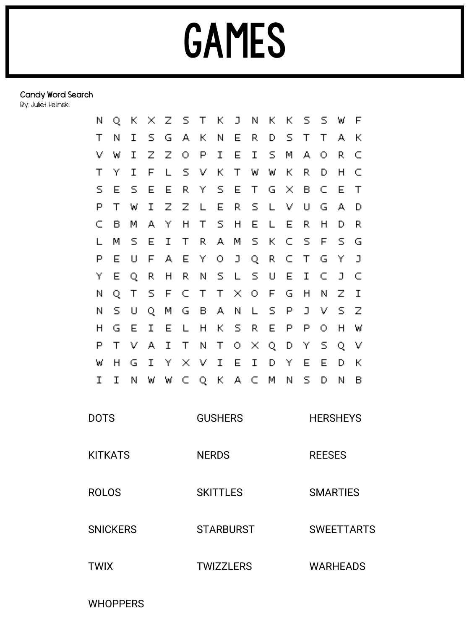### Candy Word Search

By: Juliet Helinski

| Ν               | Q | к | × | z | s | Т                | К                | J        | Ν | к | к | s               | s                 | W               | F |  |  |
|-----------------|---|---|---|---|---|------------------|------------------|----------|---|---|---|-----------------|-------------------|-----------------|---|--|--|
| Т               | Ν | Ι | s | G | А | К                | Ν                | Ε        | R | D | s | т               | Т                 | А               | к |  |  |
| ν               | W | Ι | z | z | О | P                | Ι                | Ε        | I | s | м | А               | О                 | R               | C |  |  |
| Τ               | Υ | I | F | L | s | v                | к                | Т        | W | W | к | R               | D                 | Η               | C |  |  |
| s               | Ε | s | E | E | R | Υ                | s                | Ε        | Т | G | × | в               | C                 | Ε               | Τ |  |  |
| P               | Т | W | Ι | Z | Z | L                | Е                | R        | s | L | ν | U               | G                 | А               | D |  |  |
| C               | в | М | А | Υ | Η | Т                | S                | Η        | E | L | Ε | R               | Н                 | D               | R |  |  |
| L               | М | s | E | Ι | Т | R                | А                | М        | s | к | C | s               | F                 | s               | G |  |  |
| P               | Е | U | F | А | Ε | Υ                | о                | J        | Q | R | c | Т               | G                 | Υ               | J |  |  |
| Υ               | Е | Q | R | Η | R | Ν                | s                | L        | s | U | Ε | Ι               | C                 | J               | C |  |  |
| Ν               | Q | Т | s | F | c | Т                | Т                | $\times$ | O | F | G | Н               | Ν                 | Z               | I |  |  |
| Ν               | s | U | Q | Μ | G | в                | А                | Ν        | L | s | Ρ | J               | ٧                 | s               | z |  |  |
| Н               | G | E | Ι | E | L | Н                | к                | s        | R | E | Ρ | Ρ               | O                 | Η               | W |  |  |
| P               | Т | ν | А | Ι | Т | Ν                | Т                | O        | × | Q | D | Υ               | s                 | Q               | ν |  |  |
| W               | Η | G | Ι | Υ | × | ν                | Ι                | Ε        | I | D | Υ | Ε               | Ε                 | D               | к |  |  |
| I               | I | Ν | W | W | C | Q                | К                | А        | C | М | Ν | s               | D                 | Ν               | в |  |  |
|                 |   |   |   |   |   |                  |                  |          |   |   |   |                 |                   |                 |   |  |  |
| <b>DOTS</b>     |   |   |   |   |   | <b>GUSHERS</b>   |                  |          |   |   |   | <b>HERSHEYS</b> |                   |                 |   |  |  |
| <b>KITKATS</b>  |   |   |   |   |   | <b>NERDS</b>     |                  |          |   |   |   |                 | <b>REESES</b>     |                 |   |  |  |
| <b>ROLOS</b>    |   |   |   |   |   | <b>SKITTLES</b>  |                  |          |   |   |   |                 | <b>SMARTIES</b>   |                 |   |  |  |
| <b>SNICKERS</b> |   |   |   |   |   | <b>STARBURST</b> |                  |          |   |   |   |                 | <b>SWEETTARTS</b> |                 |   |  |  |
| <b>TWIX</b>     |   |   |   |   |   |                  | <b>TWIZZLERS</b> |          |   |   |   |                 |                   | <b>WARHEADS</b> |   |  |  |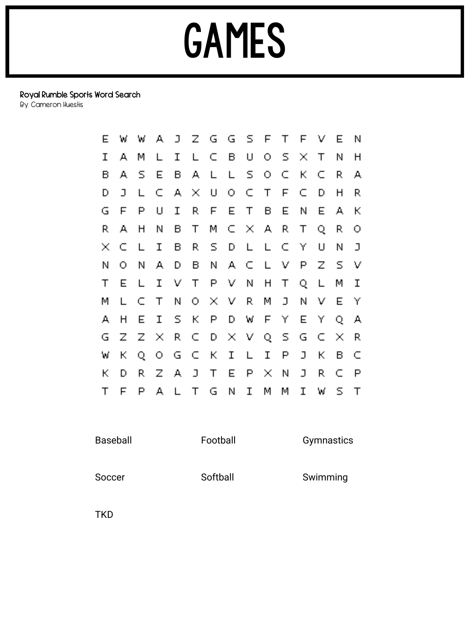### Royal Rumble Sports Word Search

By: Cameron Huestis

| Е | w | W  | A. |    |                       |    | $J$ $Z$ $G$ $G$ $S$ $F$ |        |        | T.   | F   | ν | Е | Ν |
|---|---|----|----|----|-----------------------|----|-------------------------|--------|--------|------|-----|---|---|---|
| Ι | А | М  | L  | Ι  | L.                    | C. | - B                     | U      | О      |      | s x | Т | Ν | н |
| в | А | s  | E  | в  | A                     | L  | L                       | S.     | О      | c    | К   | c | R | А |
| D | J | L  | C. | А  | $\boldsymbol{\times}$ | U  | О.                      | C.     | $\top$ | F    | c   | D | Η | R |
| G | F | Ρ  | U  | Ι  | R.                    | F  | Е                       | $\top$ | в      | Е    | Ν   | Е | А | к |
| R | А | н  | Ν  | в  | Т                     | М  | C.                      | X A    |        | R    | Т   | Q | R | O |
| × | c | L  | I  | в  | R.                    | s  | D                       | L      | L      | C    | Y   | U | Ν | J |
| Ν | о | Ν  | А  | D  | в                     | И  | A.                      | C      | L      | V    | P   | z | s | ν |
| Т | Е | L  | I  | V  | Т                     | P  | V.                      | И      | Н      | т    | Q   | L | м | I |
| м | L | c  | Т  | Ν  | 0                     | ×  | $\vee$                  | R      | М      | J    | Ν   | ν | Е | Υ |
| А | н | Е  | I  | s  | К                     | P  | D                       | W      | F      | Υ    | Е   | Υ | Q | А |
| G | z | z  | ×  | R. | C                     | D  |                         | XV.    | Q.     | - 5. | G   | c | × | R |
| W | к | Q  | 0. | G  | C                     | К  | I                       | L      | Ι      | P    | J   | К | в | C |
| к | D | R. | z  | А  | $\Box$                | Т  | Е                       | P      | ×      | Ν    | J   | R | c | P |
| Т | F | P  | А  | L  | т                     | G  | Ν                       | Ι      | м      | м    | Ι   | W | s | т |

Baseball **Football** Football Gymnastics

Soccer Softball Swimming

TKD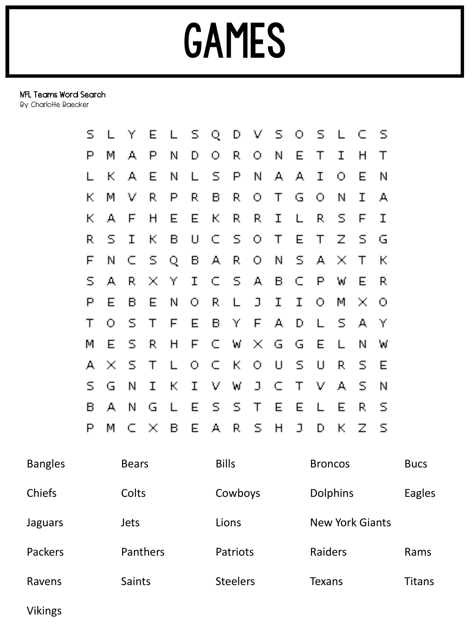### NFL Teams Word Search

By: Charlotte Baecker

| s  | L                           | Y | E.            | $\lfloor$ | S.         | Q            | D            | V.             | S.          | О           | -5.          | $\Box$         | C                        | - 5 |
|----|-----------------------------|---|---------------|-----------|------------|--------------|--------------|----------------|-------------|-------------|--------------|----------------|--------------------------|-----|
| Р  | М                           | А | Р             | N         | D          | О            | R.           | О              | Ν           | E           | Τ            | I              | Η                        | Τ   |
| L  | K.                          | А | Е             | N         | L          | S            | P            | N              | А           | А           | $\mathbf I$  | О              | E                        | Ν   |
| К  | М                           | V | R             | P         | R          | B            | R.           | О              | $\top$      | G           | О            | Ν              | I                        | А   |
| К  | А                           | F | H             | Е         | E          | $\mathbf{k}$ | R,           | R              | I           | L           | R.           | S              | F                        | I   |
| R, | S                           | I | К.            | B         | U          | C.           | $\mathbb{S}$ | О              | $\top$      | E           | $\top$       | Z              | S.                       | G   |
| F  | Ν                           | C | S.            | Q         | B          | А,           | R.           | $\bigcirc$     | Ν           | S.          | А,           | ×              | $\top$                   | К   |
| S  | А                           | R | $\mathcal{N}$ | Υ         | I          | C.           | - 5          | А              | B           | C           | $\mathsf{P}$ | W              | E                        | R   |
| Ρ  | E                           | Β | E             | N         | О          | R.           | L            | J              | $\mathbf I$ | $\mathbf I$ | О            | M              | $\mathcal{N}_\mathrm{c}$ | О   |
| Τ  | О                           | S | Τ             | F         | E          | B            | Υ            | F              | А           | D           | L            | S.             | А                        | Υ   |
| М  | Е                           | S | R,            | H         | F          | C.           | W            | $\mathbb{X}_2$ | G           | G           | Е            | L              | Ν                        | W   |
| д  | $\mathcal{M}_{\mathcal{C}}$ | S | Τ             | L         | $\bigcirc$ | C.           | $\mathsf{K}$ | О              | U           | S           | U            | R.             | s                        | Е   |
| S. | G                           | Ν | I             | K.        | I          | V            | W            | $\mathbf{J}$   | C.          | $\top$      | V            | А              | S                        | Ν   |
| в  | А                           | Ν | G             | L         | E          | S            | S.           | $\top$         | E           | E           | L            | Е              | R                        | s   |
| P  | М                           | C | $\mathcal{N}$ | B         | E          | А            | R.           | S              | H           | $\Box$      | D            | $\mathsf{K}^+$ | $\mathbb Z$              | -5  |

| <b>Bangles</b> | <b>Bears</b>    | <b>Bills</b>    | <b>Broncos</b>         | <b>Bucs</b>   |
|----------------|-----------------|-----------------|------------------------|---------------|
| Chiefs         | Colts           | Cowboys         | <b>Dolphins</b>        | <b>Eagles</b> |
| Jaguars        | <b>Jets</b>     | Lions           | <b>New York Giants</b> |               |
| Packers        | <b>Panthers</b> | <b>Patriots</b> | Raiders                | Rams          |
| Ravens         | <b>Saints</b>   | <b>Steelers</b> | <b>Texans</b>          | Titans        |

Vikings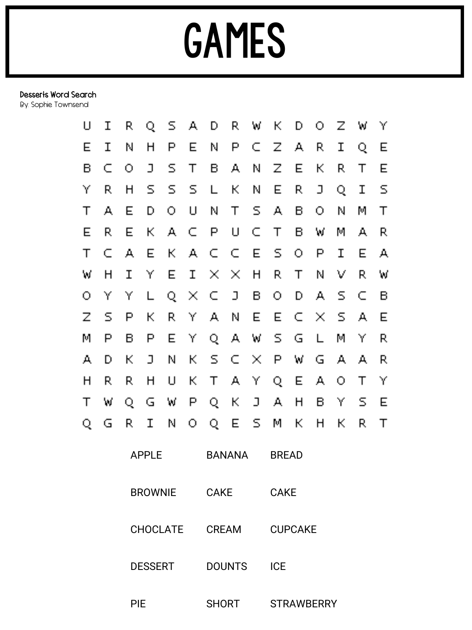### Desserts Word Search

By: Sophie Townsend

| U | I              | R | Q              | S      | А                           | D                           | R        | W             | К                 | D  | О             | Z              | W  | Υ  |  |  |
|---|----------------|---|----------------|--------|-----------------------------|-----------------------------|----------|---------------|-------------------|----|---------------|----------------|----|----|--|--|
| E | I              | Ν | H              | Ρ      | Е                           | Ν                           | P        | C             | Z                 | д. | R             | I              | Q  | E  |  |  |
| B | C              | О | ב              | S      | Τ                           | В                           | А,       | Ν             | Ζ                 | Е  | К             | R.             | Τ  | E  |  |  |
| Υ | R.             | Н | S              | S      | S                           | L                           | К        | Ν             | E                 | R  | ב             | Q              | I  | S  |  |  |
| Τ | А              | E | D              | O      | U                           | Ν                           | Τ        | S             | А                 | B  | О             | N              | М  | T  |  |  |
| E | R.             | E | К              | А      | C                           | P                           | U        | C             | Τ                 | B  | W             | М              | А, | R, |  |  |
| Τ | C              | А | E              | К      | А                           | C                           | C        | E             | S                 | О  | P             | I              | E  | А  |  |  |
| W | H              | I | Υ              | Е      | I                           | $\mathcal{L}_{\mathcal{C}}$ | $\times$ | $\mathsf{H}$  | R                 | Τ  | Ν             | V              | R  | W  |  |  |
| О | Υ              | Υ | L              | Q      | $\mathcal{M}_{\mathcal{C}}$ | C                           | ב        | В             | О                 | D  | А             | S              | C  | В  |  |  |
| Z | S              | P | К              | R.     | Y                           | А                           | Ν        | Е             | E                 | C  | $\mathcal{L}$ | $\overline{S}$ | А, | E  |  |  |
| M | P              | В | P              | Е      | Υ                           | Q                           | А        | W             | S                 | G  | L             | М              | Y  | R  |  |  |
| А | D              | К | ב              | N      | Κ                           | S                           | C        | $\mathcal{M}$ | P                 | W  | G             | А              | А, | R, |  |  |
| H | R.             | R | Н              | $\cup$ | К                           | Τ                           | А        | Y             | Q                 | Е  | А             | О              | Τ  | Y  |  |  |
| Τ | W              | Q | G              | W      | P                           | Q                           | К        | J             | А                 | Η  | В             | Υ              | S  | Е  |  |  |
| Q | G              | R | I              | N      | О                           | Q                           | Е        | S             | M                 | К  | H             | К              | R  | Τ  |  |  |
|   |                |   | <b>APPLE</b>   |        |                             | <b>BANANA</b>               |          |               | <b>BREAD</b>      |    |               |                |    |    |  |  |
|   |                |   | <b>BROWNIE</b> |        |                             | <b>CAKE</b>                 |          |               | <b>CAKE</b>       |    |               |                |    |    |  |  |
|   | CHOCLATE CREAM |   |                |        |                             |                             |          |               | <b>CUPCAKE</b>    |    |               |                |    |    |  |  |
|   |                |   | <b>DESSERT</b> |        |                             | <b>DOUNTS</b>               |          |               | <b>ICE</b>        |    |               |                |    |    |  |  |
|   | <b>PIE</b>     |   |                |        |                             | <b>SHORT</b>                |          |               | <b>STRAWBERRY</b> |    |               |                |    |    |  |  |